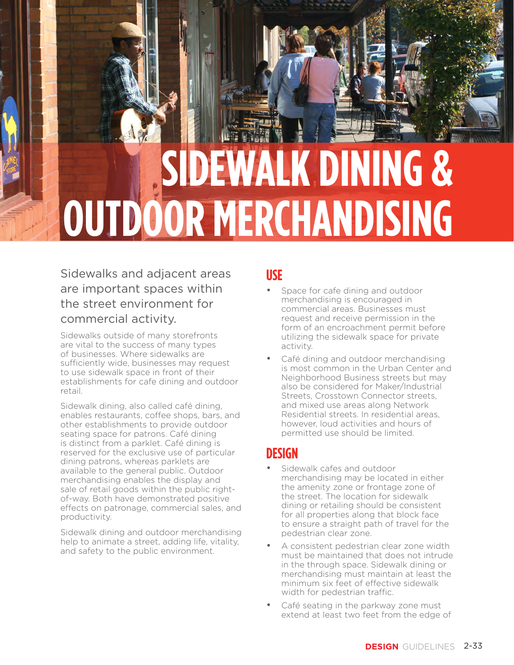# **SIDEWALK DINING & OUTDOOR MERCHANDISING**

### Sidewalks and adjacent areas are important spaces within the street environment for commercial activity.

Sidewalks outside of many storefronts are vital to the success of many types of businesses. Where sidewalks are sufficiently wide, businesses may request to use sidewalk space in front of their establishments for cafe dining and outdoor retail.

Sidewalk dining, also called café dining, enables restaurants, coffee shops, bars, and other establishments to provide outdoor seating space for patrons. Café dining is distinct from a parklet. Café dining is reserved for the exclusive use of particular dining patrons, whereas parklets are available to the general public. Outdoor merchandising enables the display and sale of retail goods within the public rightof-way. Both have demonstrated positive effects on patronage, commercial sales, and productivity.

Sidewalk dining and outdoor merchandising help to animate a street, adding life, vitality, and safety to the public environment.

#### **USE**

- Space for cafe dining and outdoor merchandising is encouraged in commercial areas. Businesses must request and receive permission in the form of an encroachment permit before utilizing the sidewalk space for private activity.
- Café dining and outdoor merchandising is most common in the Urban Center and Neighborhood Business streets but may also be considered for Maker/Industrial Streets, Crosstown Connector streets, and mixed use areas along Network Residential streets. In residential areas, however, loud activities and hours of permitted use should be limited.

# **DESIGN**

- Sidewalk cafes and outdoor merchandising may be located in either the amenity zone or frontage zone of the street. The location for sidewalk dining or retailing should be consistent for all properties along that block face to ensure a straight path of travel for the pedestrian clear zone.
- A consistent pedestrian clear zone width must be maintained that does not intrude in the through space. Sidewalk dining or merchandising must maintain at least the minimum six feet of effective sidewalk width for pedestrian traffic.
- Café seating in the parkway zone must extend at least two feet from the edge of

PEDESTRIAN ZONE